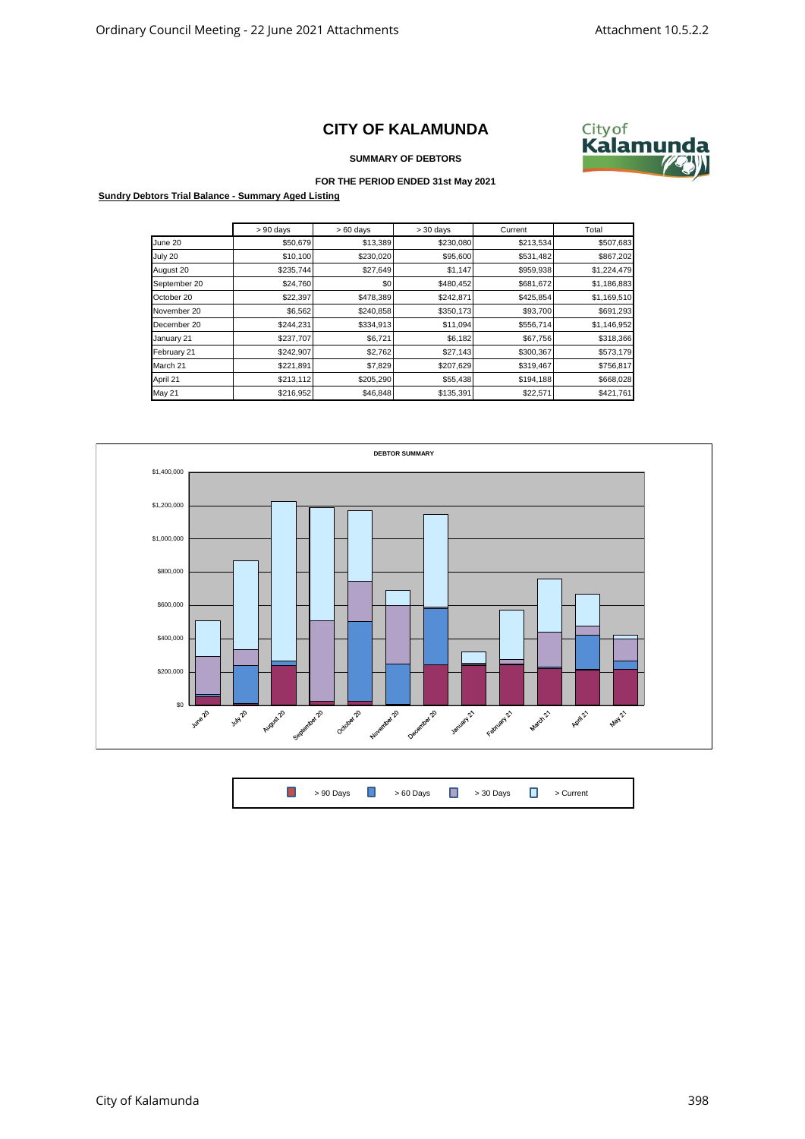## **CITY OF KALAMUNDA**



**SUMMARY OF DEBTORS**

## **FOR THE PERIOD ENDED 31st May 2021**

**Sundry Debtors Trial Balance - Summary Aged Listing**

|               | $> 90$ days | $>60$ days | $>30$ days | Current   | Total       |
|---------------|-------------|------------|------------|-----------|-------------|
| June 20       | \$50,679    | \$13,389   | \$230,080  | \$213,534 | \$507,683   |
| July 20       | \$10,100    | \$230,020  | \$95,600   | \$531,482 | \$867,202   |
| August 20     | \$235,744   | \$27,649   | \$1,147    | \$959,938 | \$1,224,479 |
| September 20  | \$24,760    | \$0        | \$480,452  | \$681,672 | \$1,186,883 |
| October 20    | \$22,397    | \$478,389  | \$242,871  | \$425,854 | \$1,169,510 |
| November 20   | \$6,562     | \$240,858  | \$350,173  | \$93,700  | \$691,293   |
| December 20   | \$244,231   | \$334,913  | \$11,094   | \$556,714 | \$1,146,952 |
| January 21    | \$237,707   | \$6,721    | \$6,182    | \$67,756  | \$318,366   |
| February 21   | \$242,907   | \$2,762    | \$27,143   | \$300,367 | \$573,179   |
| March 21      | \$221,891   | \$7,829    | \$207,629  | \$319,467 | \$756,817   |
| April 21      | \$213,112   | \$205,290  | \$55,438   | \$194,188 | \$668,028   |
| <b>May 21</b> | \$216,952   | \$46,848   | \$135,391  | \$22,571  | \$421,761   |